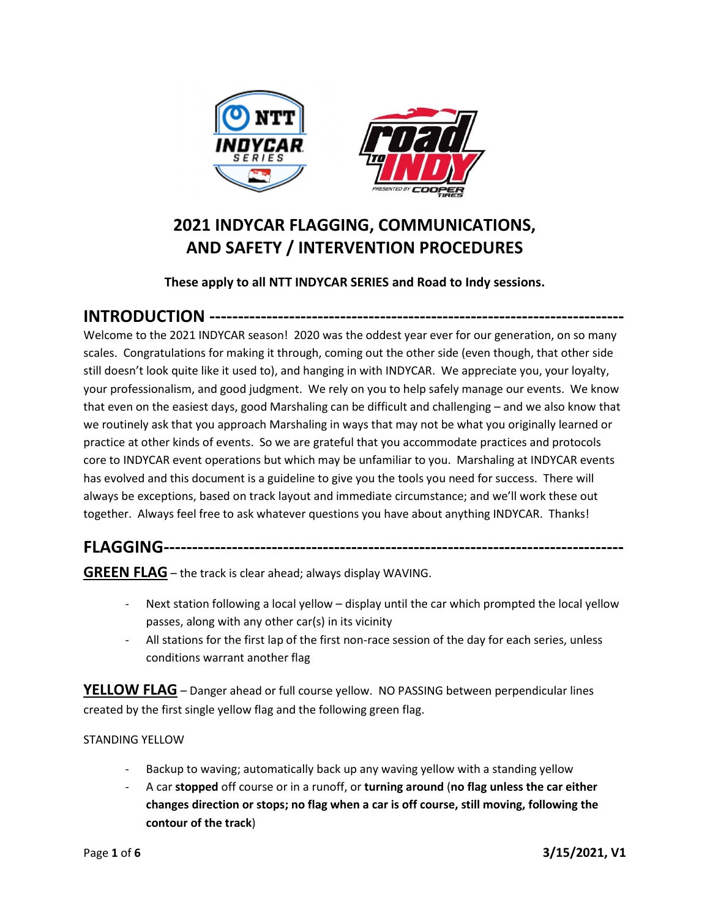

# **2021 INDYCAR FLAGGING, COMMUNICATIONS, AND SAFETY / INTERVENTION PROCEDURES**

## **These apply to all NTT INDYCAR SERIES and Road to Indy sessions.**

# **INTRODUCTION -------------------------------------------------------------------------**

Welcome to the 2021 INDYCAR season! 2020 was the oddest year ever for our generation, on so many scales. Congratulations for making it through, coming out the other side (even though, that other side still doesn't look quite like it used to), and hanging in with INDYCAR. We appreciate you, your loyalty, your professionalism, and good judgment. We rely on you to help safely manage our events. We know that even on the easiest days, good Marshaling can be difficult and challenging – and we also know that we routinely ask that you approach Marshaling in ways that may not be what you originally learned or practice at other kinds of events. So we are grateful that you accommodate practices and protocols core to INDYCAR event operations but which may be unfamiliar to you. Marshaling at INDYCAR events has evolved and this document is a guideline to give you the tools you need for success. There will always be exceptions, based on track layout and immediate circumstance; and we'll work these out together. Always feel free to ask whatever questions you have about anything INDYCAR. Thanks!

# **FLAGGING---------------------------------------------------------------------------------**

**GREEN FLAG** – the track is clear ahead; always display WAVING.

- Next station following a local yellow display until the car which prompted the local yellow passes, along with any other car(s) in its vicinity
- All stations for the first lap of the first non-race session of the day for each series, unless conditions warrant another flag

**YELLOW FLAG** – Danger ahead or full course yellow. NO PASSING between perpendicular lines created by the first single yellow flag and the following green flag.

#### STANDING YELLOW

- Backup to waving; automatically back up any waving yellow with a standing yellow
- A car **stopped** off course or in a runoff, or **turning around** (**no flag unless the car either changes direction or stops; no flag when a car is off course, still moving, following the contour of the track**)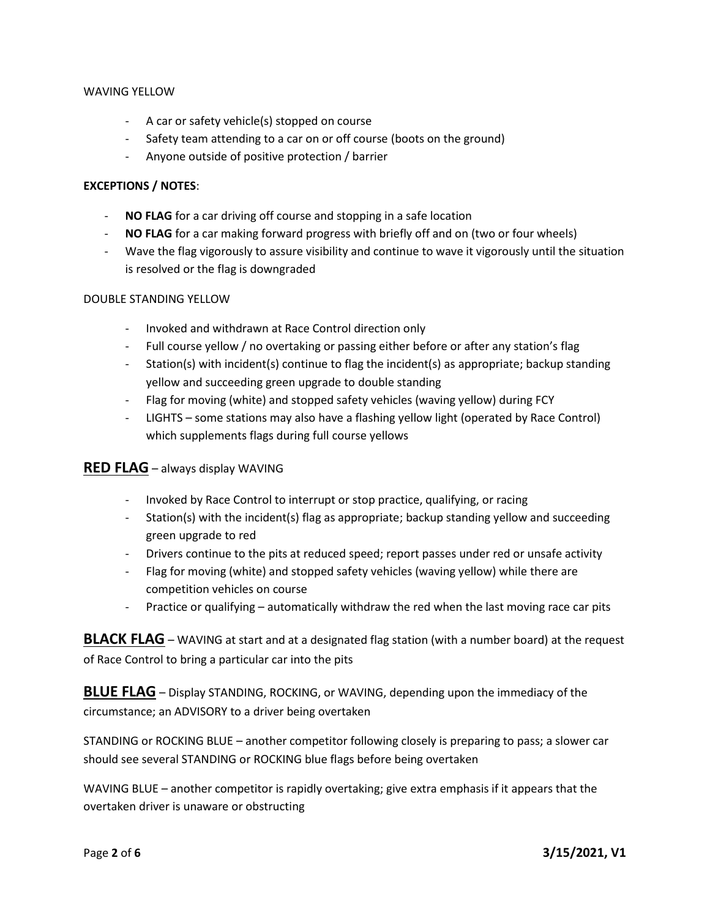#### WAVING YELLOW

- A car or safety vehicle(s) stopped on course
- Safety team attending to a car on or off course (boots on the ground)
- Anyone outside of positive protection / barrier

#### **EXCEPTIONS / NOTES**:

- NO FLAG for a car driving off course and stopping in a safe location
- **NO FLAG** for a car making forward progress with briefly off and on (two or four wheels)
- Wave the flag vigorously to assure visibility and continue to wave it vigorously until the situation is resolved or the flag is downgraded

#### DOUBLE STANDING YELLOW

- Invoked and withdrawn at Race Control direction only
- Full course yellow / no overtaking or passing either before or after any station's flag
- Station(s) with incident(s) continue to flag the incident(s) as appropriate; backup standing yellow and succeeding green upgrade to double standing
- Flag for moving (white) and stopped safety vehicles (waving yellow) during FCY
- LIGHTS some stations may also have a flashing yellow light (operated by Race Control) which supplements flags during full course yellows

#### **RED FLAG** – always display WAVING

- Invoked by Race Control to interrupt or stop practice, qualifying, or racing
- Station(s) with the incident(s) flag as appropriate; backup standing yellow and succeeding green upgrade to red
- Drivers continue to the pits at reduced speed; report passes under red or unsafe activity
- Flag for moving (white) and stopped safety vehicles (waving yellow) while there are competition vehicles on course
- Practice or qualifying automatically withdraw the red when the last moving race car pits

**BLACK FLAG** – WAVING at start and at a designated flag station (with a number board) at the request of Race Control to bring a particular car into the pits

**BLUE FLAG** – Display STANDING, ROCKING, or WAVING, depending upon the immediacy of the circumstance; an ADVISORY to a driver being overtaken

STANDING or ROCKING BLUE – another competitor following closely is preparing to pass; a slower car should see several STANDING or ROCKING blue flags before being overtaken

WAVING BLUE – another competitor is rapidly overtaking; give extra emphasis if it appears that the overtaken driver is unaware or obstructing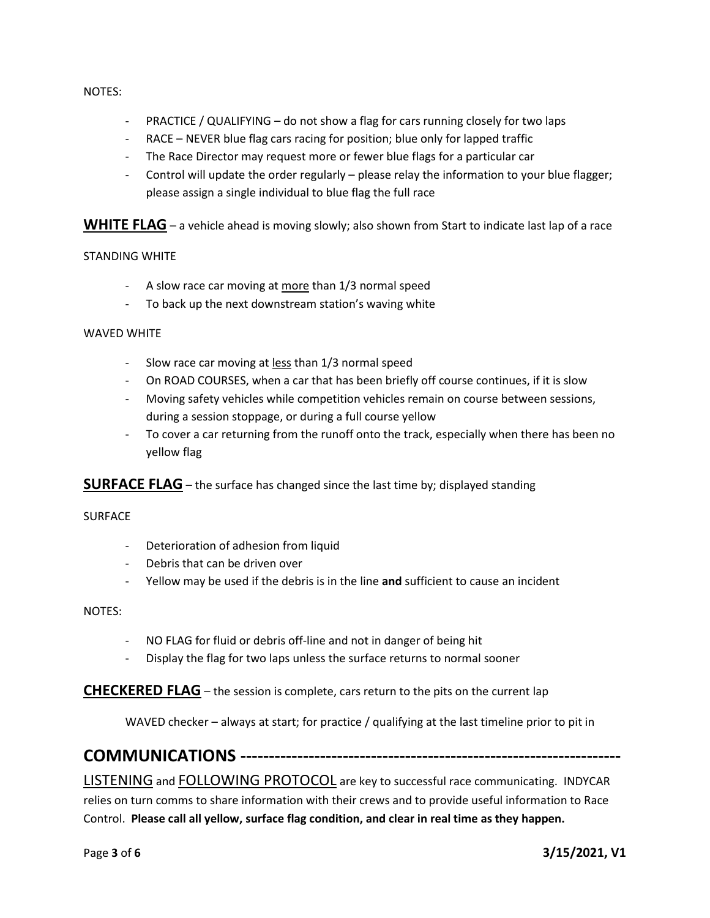NOTES:

- PRACTICE / QUALIFYING do not show a flag for cars running closely for two laps
- RACE NEVER blue flag cars racing for position; blue only for lapped traffic
- The Race Director may request more or fewer blue flags for a particular car
- Control will update the order regularly please relay the information to your blue flagger; please assign a single individual to blue flag the full race

**WHITE FLAG** – a vehicle ahead is moving slowly; also shown from Start to indicate last lap of a race

#### STANDING WHITE

- A slow race car moving at more than 1/3 normal speed
- To back up the next downstream station's waving white

#### WAVED WHITE

- Slow race car moving at less than 1/3 normal speed
- On ROAD COURSES, when a car that has been briefly off course continues, if it is slow
- Moving safety vehicles while competition vehicles remain on course between sessions, during a session stoppage, or during a full course yellow
- To cover a car returning from the runoff onto the track, especially when there has been no yellow flag

**SURFACE FLAG** – the surface has changed since the last time by; displayed standing

#### **SURFACE**

- Deterioration of adhesion from liquid
- Debris that can be driven over
- Yellow may be used if the debris is in the line **and** sufficient to cause an incident

NOTES:

- NO FLAG for fluid or debris off-line and not in danger of being hit
- Display the flag for two laps unless the surface returns to normal sooner

**CHECKERED FLAG** – the session is complete, cars return to the pits on the current lap

WAVED checker – always at start; for practice / qualifying at the last timeline prior to pit in

## **COMMUNICATIONS -------------------------------------------------------------------**

LISTENING and FOLLOWING PROTOCOL are key to successful race communicating. INDYCAR

relies on turn comms to share information with their crews and to provide useful information to Race Control. **Please call all yellow, surface flag condition, and clear in real time as they happen.**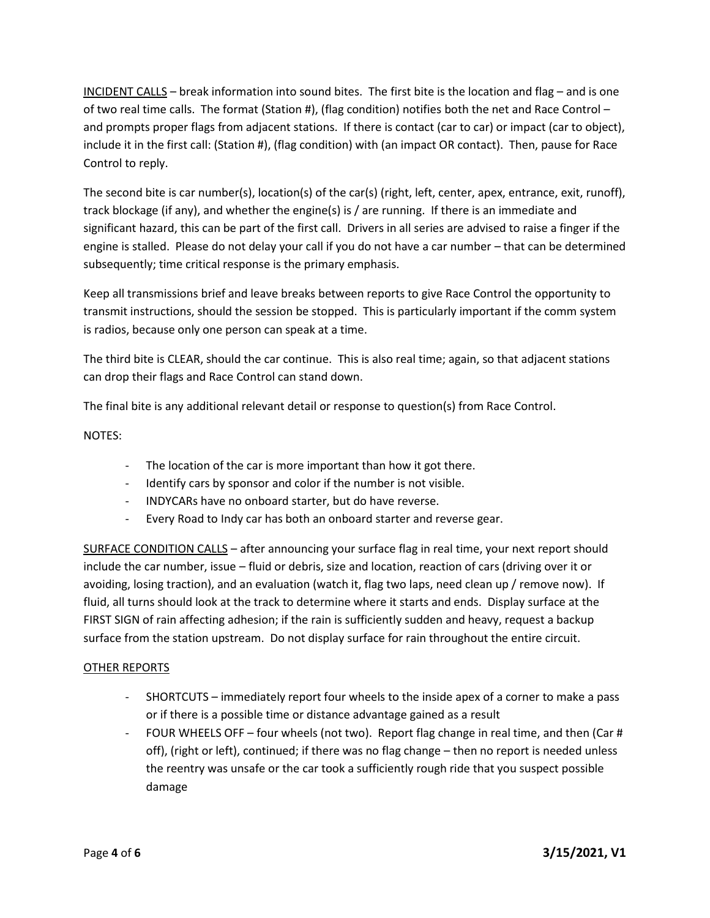INCIDENT CALLS – break information into sound bites. The first bite is the location and flag – and is one of two real time calls. The format (Station #), (flag condition) notifies both the net and Race Control – and prompts proper flags from adjacent stations. If there is contact (car to car) or impact (car to object), include it in the first call: (Station #), (flag condition) with (an impact OR contact). Then, pause for Race Control to reply.

The second bite is car number(s), location(s) of the car(s) (right, left, center, apex, entrance, exit, runoff), track blockage (if any), and whether the engine(s) is / are running. If there is an immediate and significant hazard, this can be part of the first call. Drivers in all series are advised to raise a finger if the engine is stalled. Please do not delay your call if you do not have a car number – that can be determined subsequently; time critical response is the primary emphasis.

Keep all transmissions brief and leave breaks between reports to give Race Control the opportunity to transmit instructions, should the session be stopped. This is particularly important if the comm system is radios, because only one person can speak at a time.

The third bite is CLEAR, should the car continue. This is also real time; again, so that adjacent stations can drop their flags and Race Control can stand down.

The final bite is any additional relevant detail or response to question(s) from Race Control.

NOTES:

- The location of the car is more important than how it got there.
- Identify cars by sponsor and color if the number is not visible.
- INDYCARs have no onboard starter, but do have reverse.
- Every Road to Indy car has both an onboard starter and reverse gear.

SURFACE CONDITION CALLS – after announcing your surface flag in real time, your next report should include the car number, issue – fluid or debris, size and location, reaction of cars (driving over it or avoiding, losing traction), and an evaluation (watch it, flag two laps, need clean up / remove now). If fluid, all turns should look at the track to determine where it starts and ends. Display surface at the FIRST SIGN of rain affecting adhesion; if the rain is sufficiently sudden and heavy, request a backup surface from the station upstream. Do not display surface for rain throughout the entire circuit.

#### OTHER REPORTS

- SHORTCUTS immediately report four wheels to the inside apex of a corner to make a pass or if there is a possible time or distance advantage gained as a result
- FOUR WHEELS OFF four wheels (not two). Report flag change in real time, and then (Car # off), (right or left), continued; if there was no flag change – then no report is needed unless the reentry was unsafe or the car took a sufficiently rough ride that you suspect possible damage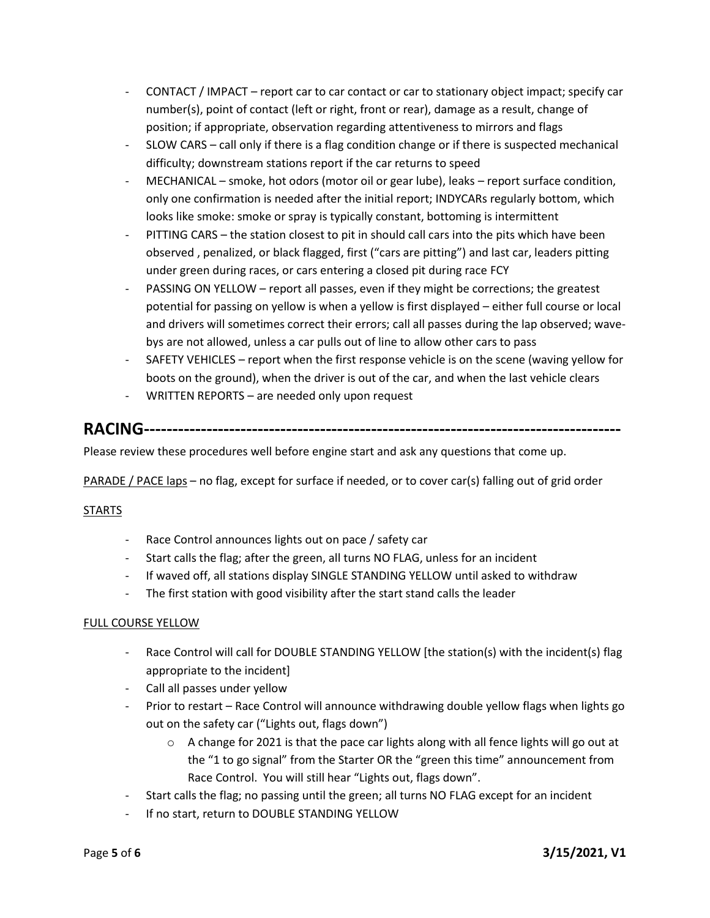- CONTACT / IMPACT report car to car contact or car to stationary object impact; specify car number(s), point of contact (left or right, front or rear), damage as a result, change of position; if appropriate, observation regarding attentiveness to mirrors and flags
- SLOW CARS call only if there is a flag condition change or if there is suspected mechanical difficulty; downstream stations report if the car returns to speed
- MECHANICAL smoke, hot odors (motor oil or gear lube), leaks report surface condition, only one confirmation is needed after the initial report; INDYCARs regularly bottom, which looks like smoke: smoke or spray is typically constant, bottoming is intermittent
- PITTING CARS the station closest to pit in should call cars into the pits which have been observed , penalized, or black flagged, first ("cars are pitting") and last car, leaders pitting under green during races, or cars entering a closed pit during race FCY
- PASSING ON YELLOW report all passes, even if they might be corrections; the greatest potential for passing on yellow is when a yellow is first displayed – either full course or local and drivers will sometimes correct their errors; call all passes during the lap observed; wavebys are not allowed, unless a car pulls out of line to allow other cars to pass
- SAFETY VEHICLES report when the first response vehicle is on the scene (waving yellow for boots on the ground), when the driver is out of the car, and when the last vehicle clears
- WRITTEN REPORTS are needed only upon request

# **RACING------------------------------------------------------------------------------------**

Please review these procedures well before engine start and ask any questions that come up.

PARADE / PACE laps – no flag, except for surface if needed, or to cover car(s) falling out of grid order

#### STARTS

- Race Control announces lights out on pace / safety car
- Start calls the flag; after the green, all turns NO FLAG, unless for an incident
- If waved off, all stations display SINGLE STANDING YELLOW until asked to withdraw
- The first station with good visibility after the start stand calls the leader

#### FULL COURSE YELLOW

- Race Control will call for DOUBLE STANDING YELLOW [the station(s) with the incident(s) flag appropriate to the incident]
- Call all passes under yellow
- Prior to restart Race Control will announce withdrawing double yellow flags when lights go out on the safety car ("Lights out, flags down")
	- $\circ$  A change for 2021 is that the pace car lights along with all fence lights will go out at the "1 to go signal" from the Starter OR the "green this time" announcement from Race Control. You will still hear "Lights out, flags down".
- Start calls the flag; no passing until the green; all turns NO FLAG except for an incident
- If no start, return to DOUBLE STANDING YELLOW